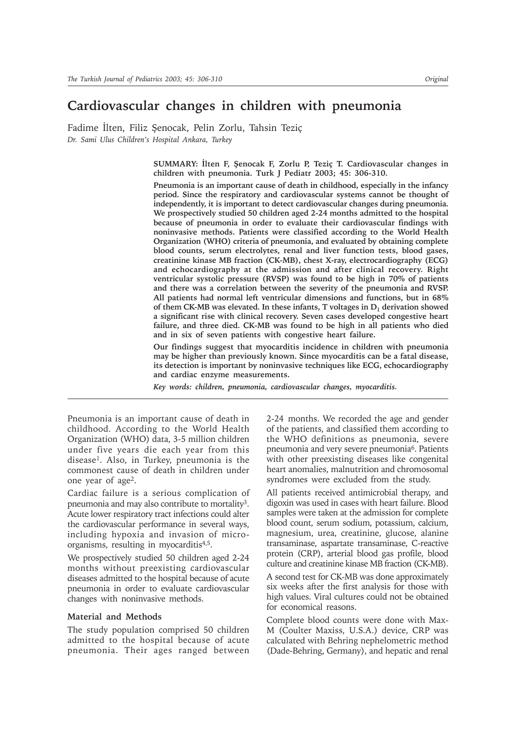# **Cardiovascular changes in children with pneumonia**

Fadime İlten, Filiz Şenocak, Pelin Zorlu, Tahsin Teziç *Dr. Sami Ulus Children's Hospital Ankara, Turkey*

> SUMMARY: İlten F, Şenocak F, Zorlu P, Teziç T. Cardiovascular changes in **children with pneumonia. Turk J Pediatr 2003; 45: 306-310.**

> **Pneumonia is an important cause of death in childhood, especially in the infancy period. Since the respiratory and cardiovascular systems cannot be thought of independently, it is important to detect cardiovascular changes during pneumonia. We prospectively studied 50 children aged 2-24 months admitted to the hospital because of pneumonia in order to evaluate their cardiovascular findings with noninvasive methods. Patients were classified according to the World Health Organization (WHO) criteria of pneumonia, and evaluated by obtaining complete blood counts, serum electrolytes, renal and liver function tests, blood gases, creatinine kinase MB fraction (CK-MB), chest X-ray, electrocardiography (ECG) and echocardiography at the admission and after clinical recovery. Right ventricular systolic pressure (RVSP) was found to be high in 70% of patients and there was a correlation between the severity of the pneumonia and RVSP. All patients had normal left ventricular dimensions and functions, but in 68%** of them CK-MB was elevated. In these infants, T voltages in D<sub>1</sub> derivation showed **a significant rise with clinical recovery. Seven cases developed congestive heart failure, and three died. CK-MB was found to be high in all patients who died and in six of seven patients with congestive heart failure.**

> **Our findings suggest that myocarditis incidence in children with pneumonia may be higher than previously known. Since myocarditis can be a fatal disease, its detection is important by noninvasive techniques like ECG, echocardiography and cardiac enzyme measurements.**

*Key words: children, pneumonia, cardiovascular changes, myocarditis.*

Pneumonia is an important cause of death in childhood. According to the World Health Organization (WHO) data, 3-5 million children under five years die each year from this disease1. Also, in Turkey, pneumonia is the commonest cause of death in children under one year of age2.

Cardiac failure is a serious complication of pneumonia and may also contribute to mortality3. Acute lower respiratory tract infections could alter the cardiovascular performance in several ways, including hypoxia and invasion of microorganisms, resulting in myocarditis4,5.

We prospectively studied 50 children aged 2-24 months without preexisting cardiovascular diseases admitted to the hospital because of acute pneumonia in order to evaluate cardiovascular changes with noninvasive methods.

### **Material and Methods**

The study population comprised 50 children admitted to the hospital because of acute pneumonia. Their ages ranged between 2-24 months. We recorded the age and gender of the patients, and classified them according to the WHO definitions as pneumonia, severe pneumonia and very severe pneumonia<sup>6</sup>. Patients with other preexisting diseases like congenital heart anomalies, malnutrition and chromosomal syndromes were excluded from the study.

All patients received antimicrobial therapy, and digoxin was used in cases with heart failure. Blood samples were taken at the admission for complete blood count, serum sodium, potassium, calcium, magnesium, urea, creatinine, glucose, alanine transaminase, aspartate transaminase, C-reactive protein (CRP), arterial blood gas profile, blood culture and creatinine kinase MB fraction (CK-MB).

A second test for CK-MB was done approximately six weeks after the first analysis for those with high values. Viral cultures could not be obtained for economical reasons.

Complete blood counts were done with Max-M (Coulter Maxiss, U.S.A.) device, CRP was calculated with Behring nephelometric method (Dade-Behring, Germany), and hepatic and renal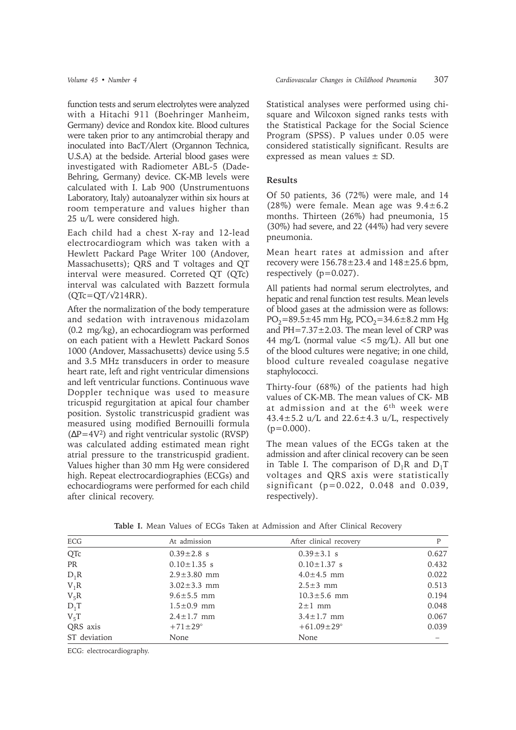function tests and serum electrolytes were analyzed with a Hitachi 911 (Boehringer Manheim, Germany) device and Rondox kite. Blood cultures were taken prior to any antimcrobial therapy and inoculated into BacT/Alert (Organnon Technica, U.S.A) at the bedside. Arterial blood gases were investigated with Radiometer ABL-5 (Dade-Behring, Germany) device. CK-MB levels were calculated with I. Lab 900 (Unstrumentuons Laboratory, Italy) autoanalyzer within six hours at room temperature and values higher than 25 u/L were considered high.

Each child had a chest X-ray and 12-lead electrocardiogram which was taken with a Hewlett Packard Page Writer 100 (Andover, Massachusetts); QRS and T voltages and QT interval were measured. Correted QT (QTc) interval was calculated with Bazzett formula  $(QTc=QT/\sqrt{214RR})$ .

After the normalization of the body temperature and sedation with intravenous midazolam (0.2 mg/kg), an echocardiogram was performed on each patient with a Hewlett Packard Sonos 1000 (Andover, Massachusetts) device using 5.5 and 3.5 MHz transducers in order to measure heart rate, left and right ventricular dimensions and left ventricular functions. Continuous wave Doppler technique was used to measure tricuspid regurgitation at apical four chamber position. Systolic transtricuspid gradient was measured using modified Bernouilli formula  $(\Delta P=4V^2)$  and right ventricular systolic (RVSP) was calculated adding estimated mean right atrial pressure to the transtricuspid gradient. Values higher than 30 mm Hg were considered high. Repeat electrocardiographies (ECGs) and echocardiograms were performed for each child after clinical recovery.

Statistical analyses were performed using chisquare and Wilcoxon signed ranks tests with the Statistical Package for the Social Science Program (SPSS). P values under 0.05 were considered statistically significant. Results are expressed as mean values ± SD.

# **Results**

Of 50 patients, 36 (72%) were male, and 14 (28%) were female. Mean age was  $9.4 \pm 6.2$ months. Thirteen (26%) had pneumonia, 15 (30%) had severe, and 22 (44%) had very severe pneumonia.

Mean heart rates at admission and after recovery were  $156.78 \pm 23.4$  and  $148 \pm 25.6$  bpm, respectively (p=0.027).

All patients had normal serum electrolytes, and hepatic and renal function test results. Mean levels of blood gases at the admission were as follows:  $PO_2=89.5\pm45$  mm Hg,  $PCO_2=34.6\pm8.2$  mm Hg and  $PH=7.37\pm2.03$ . The mean level of CRP was 44 mg/L (normal value  $\leq$  5 mg/L). All but one of the blood cultures were negative; in one child, blood culture revealed coagulase negative staphylococci.

Thirty-four (68%) of the patients had high values of CK-MB. The mean values of CK- MB at admission and at the 6<sup>th</sup> week were 43.4 $\pm$ 5.2 u/L and 22.6 $\pm$ 4.3 u/L, respectively  $(p=0.000)$ .

The mean values of the ECGs taken at the admission and after clinical recovery can be seen in Table I. The comparison of  $D_1R$  and  $D_1T$ voltages and QRS axis were statistically significant (p=0.022, 0.048 and 0.039, respectively).

| ECG          | At admission      | After clinical recovery | P     |
|--------------|-------------------|-------------------------|-------|
| QTc          | $0.39 \pm 2.8$ s  | $0.39 \pm 3.1$ s        | 0.627 |
| PR           | $0.10 \pm 1.35$ s | $0.10 \pm 1.37$ s       | 0.432 |
| $D_1R$       | $2.9 \pm 3.80$ mm | $4.0 \pm 4.5$ mm        | 0.022 |
| $V_1R$       | $3.02 \pm 3.3$ mm | $2.5 \pm 3$ mm          | 0.513 |
| $V_5R$       | $9.6 \pm 5.5$ mm  | $10.3 \pm 5.6$ mm       | 0.194 |
| $D_1T$       | $1.5 \pm 0.9$ mm  | $2 \pm 1$ mm            | 0.048 |
| $V_5T$       | $2.4 \pm 1.7$ mm  | $3.4 \pm 1.7$ mm        | 0.067 |
| QRS axis     | $+71\pm29^\circ$  | $+61.09 \pm 29$ °       | 0.039 |
| ST deviation | None              | None                    |       |

**Table I.** Mean Values of ECGs Taken at Admission and After Clinical Recovery

ECG: electrocardiography.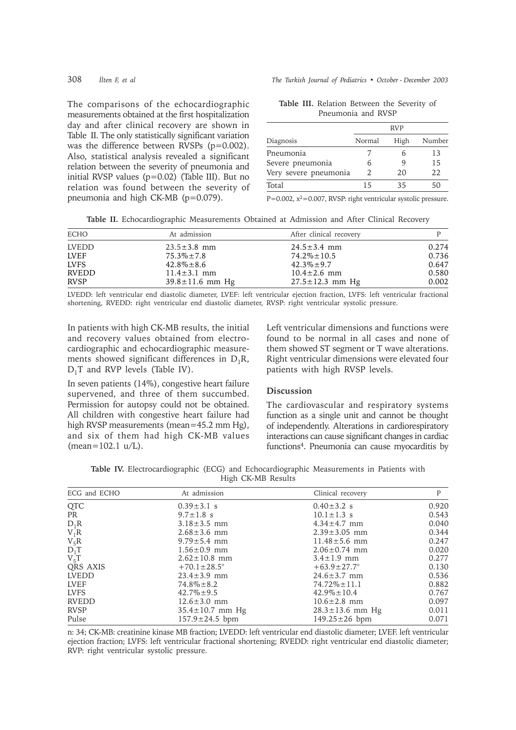The comparisons of the echocardiographic measurements obtained at the first hospitalization day and after clinical recovery are shown in Table II. The only statistically significant variation was the difference between RVSPs (p=0.002). Also, statistical analysis revealed a significant relation between the severity of pneumonia and initial RVSP values (p=0.02) (Table III). But no relation was found between the severity of pneumonia and high CK-MB (p=0.079).

308 *ilten F, et al* The Turkish Journal of Pediatrics • October - December 2003

**Table III.** Relation Between the Severity of Pneumonia and RVSP

|                       |                | <b>RVP</b> |        |
|-----------------------|----------------|------------|--------|
| Diagnosis             | Normal         | High       | Number |
| Pneumonia             |                |            | 13     |
| Severe pneumonia      | 6              | q          | 15     |
| Very severe pneumonia | $\mathfrak{D}$ | 20         | 22.    |
| Total                 | 15             | 35         | 50     |

P=0.002,  $x^2$ =0.007, RVSP: right ventricular systolic pressure.

**Table II.** Echocardiographic Measurements Obtained at Admission and After Clinical Recovery

| <b>ECHO</b>  | At admission          | After clinical recovery |       |
|--------------|-----------------------|-------------------------|-------|
| <b>LVEDD</b> | $23.5 \pm 3.8$ mm     | $24.5 \pm 3.4$ mm       | 0.274 |
| <b>LVEF</b>  | $75.3\% \pm 7.8$      | $74.2\% \pm 10.5$       | 0.736 |
| <b>LVFS</b>  | $42.8\% \pm 8.6$      | $42.3\% \pm 9.7$        | 0.647 |
| <b>RVEDD</b> | $11.4 \pm 3.1$ mm     | $10.4 \pm 2.6$ mm       | 0.580 |
| <b>RVSP</b>  | $39.8 \pm 11.6$ mm Hg | $27.5 \pm 12.3$ mm Hg   | 0.002 |

LVEDD: left ventricular end diastolic diameter, LVEF: left ventricular ejection fraction, LVFS: left ventricular fractional shortening, RVEDD: right ventricular end diastolic diameter, RVSP: right ventricular systolic pressure.

In patients with high CK-MB results, the initial and recovery values obtained from electrocardiographic and echocardiographic measurements showed significant differences in  $D_1R$ ,  $D_1T$  and RVP levels (Table IV).

In seven patients (14%), congestive heart failure supervened, and three of them succumbed. Permission for autopsy could not be obtained. All children with congestive heart failure had high RVSP measurements (mean=45.2 mm Hg), and six of them had high CK-MB values (mean=102.1 u/L).

Left ventricular dimensions and functions were found to be normal in all cases and none of them showed ST segment or T wave alterations. Right ventricular dimensions were elevated four patients with high RVSP levels.

## **Discussion**

The cardiovascular and respiratory systems function as a single unit and cannot be thought of independently. Alterations in cardiorespiratory interactions can cause significant changes in cardiac functions4. Pneumonia can cause myocarditis by

**Table IV.** Electrocardiographic (ECG) and Echocardiographic Measurements in Patients with High CK-MB Results

| ECG and ECHO | At admission             | Clinical recovery        | P     |
|--------------|--------------------------|--------------------------|-------|
| <b>QTC</b>   | $0.39 \pm 3.1$ s         | $0.40 \pm 3.2$ s         | 0.920 |
| <b>PR</b>    | $9.7 \pm 1.8$ s          | $10.1 \pm 1.3$ s         | 0.543 |
| $D_1R$       | $3.18 \pm 3.5$ mm        | $4.34 \pm 4.7$ mm        | 0.040 |
| $V_1R$       | $2.68 \pm 3.6$ mm        | $2.39 \pm 3.05$ mm       | 0.344 |
| $V_5R$       | $9.79 \pm 5.4$ mm        | $11.48 \pm 5.6$ mm       | 0.247 |
| $D_1T$       | $1.56 \pm 0.9$ mm        | $2.06 \pm 0.74$ mm       | 0.020 |
| $V_5T$       | $2.62 \pm 10.8$ mm       | $3.4 \pm 1.9$ mm         | 0.277 |
| QRS AXIS     | $+70.1 \pm 28.5^{\circ}$ | $+63.9 \pm 27.7^{\circ}$ | 0.130 |
| <b>LVEDD</b> | $23.4 \pm 3.9$ mm        | $24.6 \pm 3.7$ mm        | 0.536 |
| <b>LVEF</b>  | $74.8\% \pm 8.2$         | $74.72\% \pm 11.1$       | 0.882 |
| <b>LVFS</b>  | $42.7\% \pm 9.5$         | $42.9\% \pm 10.4$        | 0.767 |
| <b>RVEDD</b> | $12.6 \pm 3.0$ mm        | $10.6 \pm 2.8$ mm        | 0.097 |
| <b>RVSP</b>  | $35.4 \pm 10.7$ mm Hg    | $28.3 \pm 13.6$ mm Hg    | 0.011 |
| Pulse        | $157.9 \pm 24.5$ bpm     | $149.25 \pm 26$ bpm      | 0.071 |

n: 34; CK-MB: creatinine kinase MB fraction; LVEDD: left ventricular end diastolic diameter; LVEF. left ventricular ejection fraction; LVFS: left ventricular fractional shortening; RVEDD: right ventricular end diastolic diameter; RVP: right ventricular systolic pressure.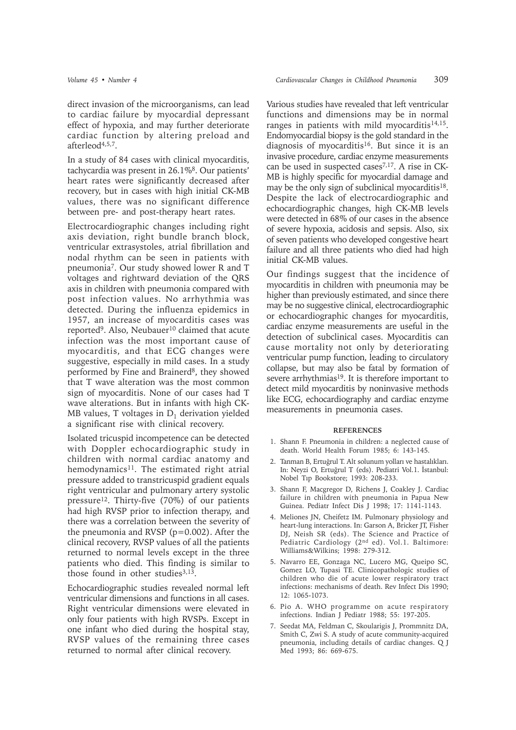direct invasion of the microorganisms, can lead to cardiac failure by myocardial depressant effect of hypoxia, and may further deteriorate cardiac function by altering preload and afterleod4,5,7.

In a study of 84 cases with clinical myocarditis, tachycardia was present in 26.1%8. Our patients' heart rates were significantly decreased after recovery, but in cases with high initial CK-MB values, there was no significant difference between pre- and post-therapy heart rates.

Electrocardiographic changes including right axis deviation, right bundle branch block, ventricular extrasystoles, atrial fibrillation and nodal rhythm can be seen in patients with pneumonia7. Our study showed lower R and T voltages and rightward deviation of the QRS axis in children with pneumonia compared with post infection values. No arrhythmia was detected. During the influenza epidemics in 1957, an increase of myocarditis cases was reported<sup>9</sup>. Also, Neubauer<sup>10</sup> claimed that acute infection was the most important cause of myocarditis, and that ECG changes were suggestive, especially in mild cases. In a study performed by Fine and Brainerd<sup>8</sup>, they showed that T wave alteration was the most common sign of myocarditis. None of our cases had T wave alterations. But in infants with high CK-MB values, T voltages in  $D_1$  derivation yielded a significant rise with clinical recovery.

Isolated tricuspid incompetence can be detected with Doppler echocardiographic study in children with normal cardiac anatomy and hemodynamics<sup>11</sup>. The estimated right atrial pressure added to transtricuspid gradient equals right ventricular and pulmonary artery systolic pressure12. Thirty-five (70%) of our patients had high RVSP prior to infection therapy, and there was a correlation between the severity of the pneumonia and RVSP  $(p=0.002)$ . After the clinical recovery, RVSP values of all the patients returned to normal levels except in the three patients who died. This finding is similar to those found in other studies $3,13$ .

Echocardiographic studies revealed normal left ventricular dimensions and functions in all cases. Right ventricular dimensions were elevated in only four patients with high RVSPs. Except in one infant who died during the hospital stay, RVSP values of the remaining three cases returned to normal after clinical recovery.

Various studies have revealed that left ventricular functions and dimensions may be in normal ranges in patients with mild myocarditis<sup>14,15</sup>. Endomyocardial biopsy is the gold standard in the diagnosis of myocarditis<sup>16</sup>. But since it is an invasive procedure, cardiac enzyme measurements can be used in suspected cases<sup>7,17</sup>. A rise in CK-MB is highly specific for myocardial damage and may be the only sign of subclinical myocarditis<sup>18</sup>. Despite the lack of electrocardiographic and echocardiographic changes, high CK-MB levels were detected in 68% of our cases in the absence of severe hypoxia, acidosis and sepsis. Also, six of seven patients who developed congestive heart failure and all three patients who died had high initial CK-MB values.

Our findings suggest that the incidence of myocarditis in children with pneumonia may be higher than previously estimated, and since there may be no suggestive clinical, electrocardiographic or echocardiographic changes for myocarditis, cardiac enzyme measurements are useful in the detection of subclinical cases. Myocarditis can cause mortality not only by deteriorating ventricular pump function, leading to circulatory collapse, but may also be fatal by formation of severe arrhythmias<sup>19</sup>. It is therefore important to detect mild myocarditis by noninvasive methods like ECG, echocardiography and cardiac enzyme measurements in pneumonia cases.

### **REFERENCES**

- 1. Shann F. Pneumonia in children: a neglected cause of death. World Health Forum 1985; 6: 143-145.
- 2. Tanman B, Ertuğrul T. Alt solunum yolları ve hastalıkları. In: Neyzi O, Ertuğrul T (eds). Pediatri Vol.1. İstanbul: Nobel Tip Bookstore; 1993: 208-233.
- 3. Shann F, Macgregor D, Richens J, Coakley J. Cardiac failure in children with pneumonia in Papua New Guinea. Pediatr Infect Dis J 1998; 17: 1141-1143.
- 4. Meliones JN, Cheifetz IM. Pulmonary physiology and heart-lung interactions. In: Garson A, Bricker JT, Fisher DJ, Neish SR (eds). The Science and Practice of Pediatric Cardiology (2nd ed). Vol.1. Baltimore: Williams&Wilkins; 1998: 279-312.
- 5. Navarro EE, Gonzaga NC, Lucero MG, Queipo SC, Gomez LO, Tupasi TE. Clinicopathologic studies of children who die of acute lower respiratory tract infections: mechanisms of death. Rev Infect Dis 1990; 12: 1065-1073.
- 6. Pio A. WHO programme on acute respiratory infections. Indian J Pediatr 1988; 55: 197-205.
- 7. Seedat MA, Feldman C, Skoularigis J, Prommnitz DA, Smith C, Zwi S. A study of acute community-acquired pneumonia, including details of cardiac changes. Q J Med 1993; 86: 669-675.